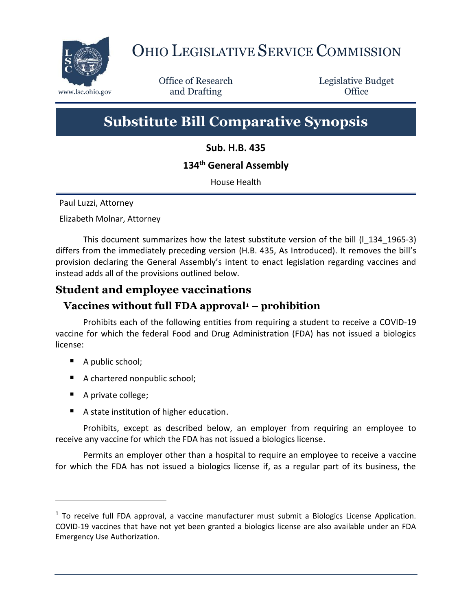

# OHIO LEGISLATIVE SERVICE COMMISSION

Office of Research www.lsc.ohio.gov **and Drafting Office** 

Legislative Budget

# **Substitute Bill Comparative Synopsis**

**Sub. H.B. 435**

# **134th General Assembly**

House Health

Paul Luzzi, Attorney

Elizabeth Molnar, Attorney

This document summarizes how the latest substitute version of the bill (l\_134\_1965-3) differs from the immediately preceding version (H.B. 435, As Introduced). It removes the bill's provision declaring the General Assembly's intent to enact legislation regarding vaccines and instead adds all of the provisions outlined below.

# **Student and employee vaccinations**

# **Vaccines without full FDA approval<sup>1</sup> – prohibition**

Prohibits each of the following entities from requiring a student to receive a COVID-19 vaccine for which the federal Food and Drug Administration (FDA) has not issued a biologics license:

- A public school;
- A chartered nonpublic school;
- A private college;

 $\overline{a}$ 

■ A state institution of higher education.

Prohibits, except as described below, an employer from requiring an employee to receive any vaccine for which the FDA has not issued a biologics license.

Permits an employer other than a hospital to require an employee to receive a vaccine for which the FDA has not issued a biologics license if, as a regular part of its business, the

 $1$  To receive full FDA approval, a vaccine manufacturer must submit a Biologics License Application. COVID-19 vaccines that have not yet been granted a biologics license are also available under an FDA Emergency Use Authorization.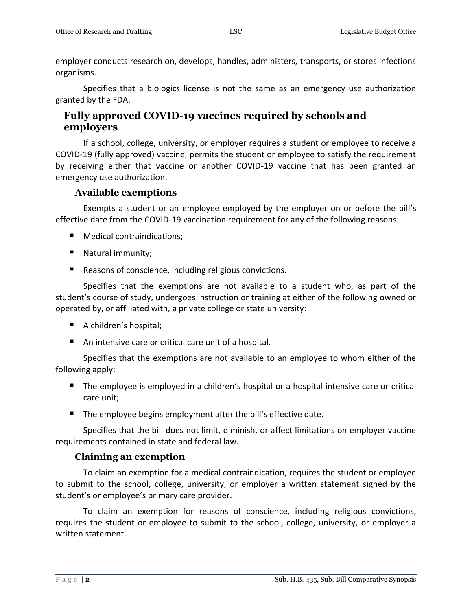employer conducts research on, develops, handles, administers, transports, or stores infections organisms.

Specifies that a biologics license is not the same as an emergency use authorization granted by the FDA.

#### **Fully approved COVID-19 vaccines required by schools and employers**

If a school, college, university, or employer requires a student or employee to receive a COVID-19 (fully approved) vaccine, permits the student or employee to satisfy the requirement by receiving either that vaccine or another COVID-19 vaccine that has been granted an emergency use authorization.

#### **Available exemptions**

Exempts a student or an employee employed by the employer on or before the bill's effective date from the COVID-19 vaccination requirement for any of the following reasons:

- Medical contraindications:
- Natural immunity;
- Reasons of conscience, including religious convictions.

Specifies that the exemptions are not available to a student who, as part of the student's course of study, undergoes instruction or training at either of the following owned or operated by, or affiliated with, a private college or state university:

- A children's hospital;
- An intensive care or critical care unit of a hospital.

Specifies that the exemptions are not available to an employee to whom either of the following apply:

- The employee is employed in a children's hospital or a hospital intensive care or critical care unit;
- The employee begins employment after the bill's effective date.

Specifies that the bill does not limit, diminish, or affect limitations on employer vaccine requirements contained in state and federal law.

#### **Claiming an exemption**

To claim an exemption for a medical contraindication, requires the student or employee to submit to the school, college, university, or employer a written statement signed by the student's or employee's primary care provider.

To claim an exemption for reasons of conscience, including religious convictions, requires the student or employee to submit to the school, college, university, or employer a written statement.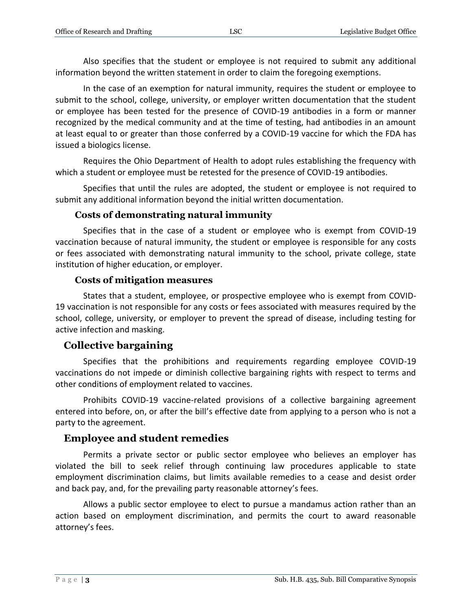Also specifies that the student or employee is not required to submit any additional information beyond the written statement in order to claim the foregoing exemptions.

In the case of an exemption for natural immunity, requires the student or employee to submit to the school, college, university, or employer written documentation that the student or employee has been tested for the presence of COVID-19 antibodies in a form or manner recognized by the medical community and at the time of testing, had antibodies in an amount at least equal to or greater than those conferred by a COVID-19 vaccine for which the FDA has issued a biologics license.

Requires the Ohio Department of Health to adopt rules establishing the frequency with which a student or employee must be retested for the presence of COVID-19 antibodies.

Specifies that until the rules are adopted, the student or employee is not required to submit any additional information beyond the initial written documentation.

#### **Costs of demonstrating natural immunity**

Specifies that in the case of a student or employee who is exempt from COVID-19 vaccination because of natural immunity, the student or employee is responsible for any costs or fees associated with demonstrating natural immunity to the school, private college, state institution of higher education, or employer.

#### **Costs of mitigation measures**

States that a student, employee, or prospective employee who is exempt from COVID-19 vaccination is not responsible for any costs or fees associated with measures required by the school, college, university, or employer to prevent the spread of disease, including testing for active infection and masking.

## **Collective bargaining**

Specifies that the prohibitions and requirements regarding employee COVID-19 vaccinations do not impede or diminish collective bargaining rights with respect to terms and other conditions of employment related to vaccines.

Prohibits COVID-19 vaccine-related provisions of a collective bargaining agreement entered into before, on, or after the bill's effective date from applying to a person who is not a party to the agreement.

## **Employee and student remedies**

Permits a private sector or public sector employee who believes an employer has violated the bill to seek relief through continuing law procedures applicable to state employment discrimination claims, but limits available remedies to a cease and desist order and back pay, and, for the prevailing party reasonable attorney's fees.

Allows a public sector employee to elect to pursue a mandamus action rather than an action based on employment discrimination, and permits the court to award reasonable attorney's fees.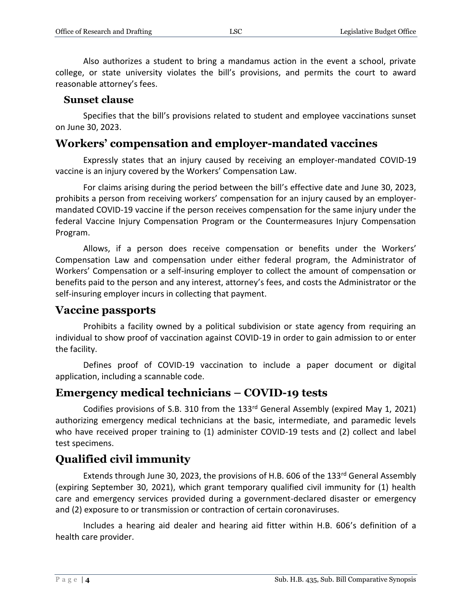Also authorizes a student to bring a mandamus action in the event a school, private college, or state university violates the bill's provisions, and permits the court to award reasonable attorney's fees.

#### **Sunset clause**

Specifies that the bill's provisions related to student and employee vaccinations sunset on June 30, 2023.

# **Workers' compensation and employer-mandated vaccines**

Expressly states that an injury caused by receiving an employer-mandated COVID-19 vaccine is an injury covered by the Workers' Compensation Law.

For claims arising during the period between the bill's effective date and June 30, 2023, prohibits a person from receiving workers' compensation for an injury caused by an employermandated COVID-19 vaccine if the person receives compensation for the same injury under the federal Vaccine Injury Compensation Program or the Countermeasures Injury Compensation Program.

Allows, if a person does receive compensation or benefits under the Workers' Compensation Law and compensation under either federal program, the Administrator of Workers' Compensation or a self-insuring employer to collect the amount of compensation or benefits paid to the person and any interest, attorney's fees, and costs the Administrator or the self-insuring employer incurs in collecting that payment.

#### **Vaccine passports**

Prohibits a facility owned by a political subdivision or state agency from requiring an individual to show proof of vaccination against COVID-19 in order to gain admission to or enter the facility.

Defines proof of COVID-19 vaccination to include a paper document or digital application, including a scannable code.

## **Emergency medical technicians – COVID-19 tests**

Codifies provisions of S.B. 310 from the 133<sup>rd</sup> General Assembly (expired May 1, 2021) authorizing emergency medical technicians at the basic, intermediate, and paramedic levels who have received proper training to (1) administer COVID-19 tests and (2) collect and label test specimens.

# **Qualified civil immunity**

Extends through June 30, 2023, the provisions of H.B. 606 of the 133rd General Assembly (expiring September 30, 2021), which grant temporary qualified civil immunity for (1) health care and emergency services provided during a government-declared disaster or emergency and (2) exposure to or transmission or contraction of certain coronaviruses.

Includes a hearing aid dealer and hearing aid fitter within H.B. 606's definition of a health care provider.